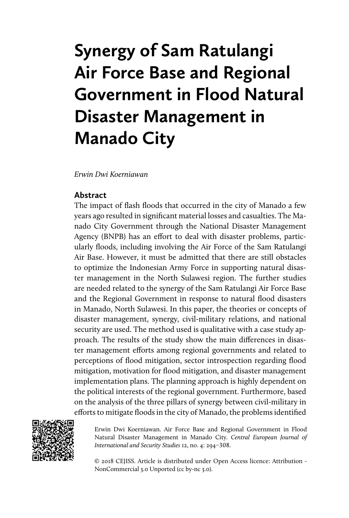# **Synergy of Sam Ratulangi Air Force Base and Regional Government in Flood Natural Disaster Management in Manado City**

*Erwin Dwi Koerniawan*

## **Abstract**

The impact of flash floods that occurred in the city of Manado a few years ago resulted in significant material losses and casualties. The Manado City Government through the National Disaster Management Agency (BNPB) has an effort to deal with disaster problems, particularly floods, including involving the Air Force of the Sam Ratulangi Air Base. However, it must be admitted that there are still obstacles to optimize the Indonesian Army Force in supporting natural disaster management in the North Sulawesi region. The further studies are needed related to the synergy of the Sam Ratulangi Air Force Base and the Regional Government in response to natural flood disasters in Manado, North Sulawesi. In this paper, the theories or concepts of disaster management, synergy, civil-military relations, and national security are used. The method used is qualitative with a case study approach. The results of the study show the main differences in disaster management efforts among regional governments and related to perceptions of flood mitigation, sector introspection regarding flood mitigation, motivation for flood mitigation, and disaster management implementation plans. The planning approach is highly dependent on the political interests of the regional government. Furthermore, based on the analysis of the three pillars of synergy between civil-military in efforts to mitigate floods in the city of Manado, the problems identified



Erwin Dwi Koerniawan. Air Force Base and Regional Government in Flood Natural Disaster Management in Manado City. *Central European Journal of International and Security Studies* 12, no. 4: 294–308.

© 2018 CEJISS. Article is distributed under Open Access licence: Attribution - NonCommercial 3.0 Unported (cc by-nc 3.0).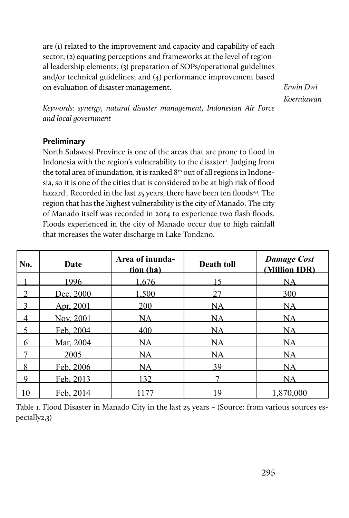are (1) related to the improvement and capacity and capability of each sector; (2) equating perceptions and frameworks at the level of regional leadership elements; (3) preparation of SOPs/operational guidelines and/or technical guidelines; and (4) performance improvement based on evaluation of disaster management.

*Erwin Dwi Koerniawan*

*Keywords: synergy, natural disaster management, Indonesian Air Force and local government*

## **Preliminary**

North Sulawesi Province is one of the areas that are prone to flood in Indonesia with the region's vulnerability to the disaster<sup>1</sup>. Judging from the total area of inundation, it is ranked  $8<sup>th</sup>$  out of all regions in Indonesia, so it is one of the cities that is considered to be at high risk of flood hazard<sup>1</sup>. Recorded in the last 25 years, there have been ten floods<sup>23</sup>. The region that has the highest vulnerability is the city of Manado. The city of Manado itself was recorded in 2014 to experience two flash floods. Floods experienced in the city of Manado occur due to high rainfall that increases the water discharge in Lake Tondano.

| No. | Date      | Area of inunda-<br>tion (ha) | Death toll | <b>Damage Cost</b><br>(Million IDR) |
|-----|-----------|------------------------------|------------|-------------------------------------|
|     | 1996      | .676                         | 5          | NA                                  |
|     | Dec. 2000 | .500                         | 27         | 300                                 |
|     | Apr, 2001 | 200                          | NA         | NA                                  |
| 4   | Nov, 2001 | NA                           | NA         | NA                                  |
|     | Feb. 2004 | 400                          | NA         | NA                                  |
| 6   | Mar. 2004 | NA                           | NA         | NA                                  |
|     | 2005      | NΑ                           | NA         | NΑ                                  |
| 8   | Feb. 2006 | NA                           | 39         | NA                                  |
| Q   | Feb. 2013 | 132                          |            | NΑ                                  |
| 10  | Feb, 2014 | 1177                         | 19         | 1,870,000                           |

Table 1. Flood Disaster in Manado City in the last 25 years – (Source: from various sources especially2,3)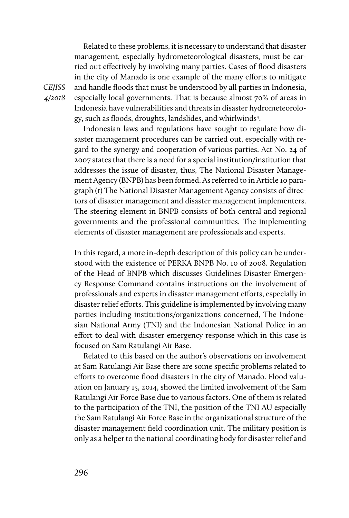Related to these problems, it is necessary to understand that disaster management, especially hydrometeorological disasters, must be carried out effectively by involving many parties. Cases of flood disasters in the city of Manado is one example of the many efforts to mitigate and handle floods that must be understood by all parties in Indonesia, especially local governments. That is because almost 70% of areas in Indonesia have vulnerabilities and threats in disaster hydrometeorology, such as floods, droughts, landslides, and whirlwinds4 .

Indonesian laws and regulations have sought to regulate how disaster management procedures can be carried out, especially with regard to the synergy and cooperation of various parties. Act No. 24 of 2007 states that there is a need for a special institution/institution that addresses the issue of disaster, thus, The National Disaster Management Agency (BNPB) has been formed. As referred to in Article 10 paragraph (1) The National Disaster Management Agency consists of directors of disaster management and disaster management implementers. The steering element in BNPB consists of both central and regional governments and the professional communities. The implementing elements of disaster management are professionals and experts.

In this regard, a more in-depth description of this policy can be understood with the existence of PERKA BNPB No. 10 of 2008. Regulation of the Head of BNPB which discusses Guidelines Disaster Emergency Response Command contains instructions on the involvement of professionals and experts in disaster management efforts, especially in disaster relief efforts. This guideline is implemented by involving many parties including institutions/organizations concerned, The Indonesian National Army (TNI) and the Indonesian National Police in an effort to deal with disaster emergency response which in this case is focused on Sam Ratulangi Air Base.

Related to this based on the author's observations on involvement at Sam Ratulangi Air Base there are some specific problems related to efforts to overcome flood disasters in the city of Manado. Flood valuation on January 15, 2014, showed the limited involvement of the Sam Ratulangi Air Force Base due to various factors. One of them is related to the participation of the TNI, the position of the TNI AU especially the Sam Ratulangi Air Force Base in the organizational structure of the disaster management field coordination unit. The military position is only as a helper to the national coordinating body for disaster relief and

*CEJISS 4/2018*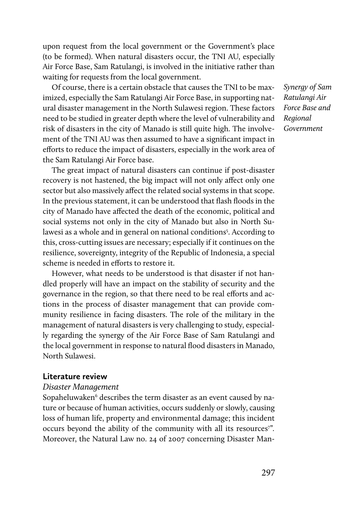upon request from the local government or the Government's place (to be formed). When natural disasters occur, the TNI AU, especially Air Force Base, Sam Ratulangi, is involved in the initiative rather than waiting for requests from the local government.

Of course, there is a certain obstacle that causes the TNI to be maximized, especially the Sam Ratulangi Air Force Base, in supporting natural disaster management in the North Sulawesi region. These factors need to be studied in greater depth where the level of vulnerability and risk of disasters in the city of Manado is still quite high. The involvement of the TNI AU was then assumed to have a significant impact in efforts to reduce the impact of disasters, especially in the work area of the Sam Ratulangi Air Force base.

The great impact of natural disasters can continue if post-disaster recovery is not hastened, the big impact will not only affect only one sector but also massively affect the related social systems in that scope. In the previous statement, it can be understood that flash floods in the city of Manado have affected the death of the economic, political and social systems not only in the city of Manado but also in North Sulawesi as a whole and in general on national conditions<sup>5</sup>. According to this, cross-cutting issues are necessary; especially if it continues on the resilience, sovereignty, integrity of the Republic of Indonesia, a special scheme is needed in efforts to restore it.

However, what needs to be understood is that disaster if not handled properly will have an impact on the stability of security and the governance in the region, so that there need to be real efforts and actions in the process of disaster management that can provide community resilience in facing disasters. The role of the military in the management of natural disasters is very challenging to study, especially regarding the synergy of the Air Force Base of Sam Ratulangi and the local government in response to natural flood disasters in Manado, North Sulawesi.

## **Literature review**

#### *Disaster Management*

Sopaheluwaken<sup>6</sup> describes the term disaster as an event caused by nature or because of human activities, occurs suddenly or slowly, causing loss of human life, property and environmental damage; this incident occurs beyond the ability of the community with all its resources<sup>7</sup>". Moreover, the Natural Law no. 24 of 2007 concerning Disaster Man*Synergy of Sam Ratulangi Air Force Base and Regional Government*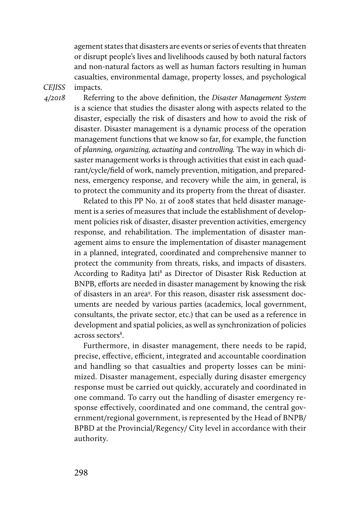agement states that disasters are events or series of events that threaten or disrupt people's lives and livelihoods caused by both natural factors and non-natural factors as well as human factors resulting in human casualties, environmental damage, property losses, and psychological impacts.

*CEJISS 4/2018* 

Referring to the above definition, the *Disaster Management System* is a science that studies the disaster along with aspects related to the disaster, especially the risk of disasters and how to avoid the risk of disaster. Disaster management is a dynamic process of the operation management functions that we know so far, for example, the function of *planning, organizing, actuating* and *controlling.* The way in which disaster management works is through activities that exist in each quadrant/cycle/field of work, namely prevention, mitigation, and preparedness, emergency response, and recovery while the aim, in general, is to protect the community and its property from the threat of disaster.

Related to this PP No. 21 of 2008 states that held disaster management is a series of measures that include the establishment of development policies risk of disaster, disaster prevention activities, emergency response, and rehabilitation. The implementation of disaster management aims to ensure the implementation of disaster management in a planned, integrated, coordinated and comprehensive manner to protect the community from threats, risks, and impacts of disasters. According to Raditya Jati<sup>8</sup> as Director of Disaster Risk Reduction at BNPB, efforts are needed in disaster management by knowing the risk of disasters in an area9 . For this reason, disaster risk assessment documents are needed by various parties (academics, local government, consultants, the private sector, etc.) that can be used as a reference in development and spatial policies, as well as synchronization of policies across sectors<sup>8</sup>.

Furthermore, in disaster management, there needs to be rapid, precise, effective, efficient, integrated and accountable coordination and handling so that casualties and property losses can be minimized. Disaster management, especially during disaster emergency response must be carried out quickly, accurately and coordinated in one command. To carry out the handling of disaster emergency response effectively, coordinated and one command, the central government/regional government, is represented by the Head of BNPB/ BPBD at the Provincial/Regency/ City level in accordance with their authority.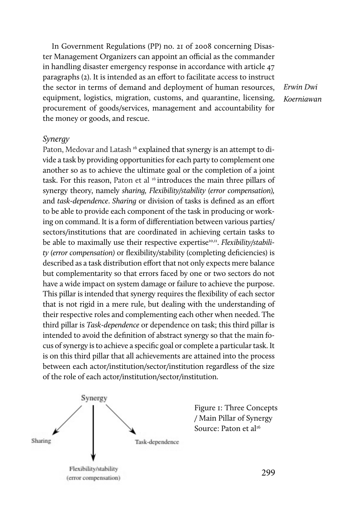In Government Regulations (PP) no. 21 of 2008 concerning Disaster Management Organizers can appoint an official as the commander in handling disaster emergency response in accordance with article 47 paragraphs (2). It is intended as an effort to facilitate access to instruct the sector in terms of demand and deployment of human resources, equipment, logistics, migration, customs, and quarantine, licensing, procurement of goods/services, management and accountability for the money or goods, and rescue.

*Erwin Dwi Koerniawan*

#### *Synergy*

Paton, Medovar and Latash<sup>16</sup> explained that synergy is an attempt to divide a task by providing opportunities for each party to complement one another so as to achieve the ultimate goal or the completion of a joint task. For this reason, Paton et al <sup>16</sup> introduces the main three pillars of synergy theory, namely *sharing, Flexibility/stability (error compensation),* and *task-dependence*. *Sharing* or division of tasks is defined as an effort to be able to provide each component of the task in producing or working on command. It is a form of differentiation between various parties/ sectors/institutions that are coordinated in achieving certain tasks to be able to maximally use their respective expertise<sup>10,11</sup>. *Flexibility/stability (error compensation)* or flexibility/stability (completing deficiencies) is described as a task distribution effort that not only expects mere balance but complementarity so that errors faced by one or two sectors do not have a wide impact on system damage or failure to achieve the purpose. This pillar is intended that synergy requires the flexibility of each sector that is not rigid in a mere rule, but dealing with the understanding of their respective roles and complementing each other when needed. The third pillar is *Task-dependence* or dependence on task; this third pillar is intended to avoid the definition of abstract synergy so that the main focus of synergy is to achieve a specific goal or complete a particular task. It is on this third pillar that all achievements are attained into the process between each actor/institution/sector/institution regardless of the size of the role of each actor/institution/sector/institution.

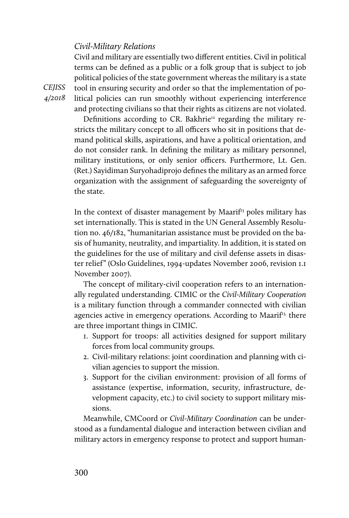#### *Civil-Military Relations*

Civil and military are essentially two different entities. Civil in political terms can be defined as a public or a folk group that is subject to job political policies of the state government whereas the military is a state tool in ensuring security and order so that the implementation of political policies can run smoothly without experiencing interference and protecting civilians so that their rights as citizens are not violated.

Definitions according to CR. Bakhrie<sup>12</sup> regarding the military restricts the military concept to all officers who sit in positions that demand political skills, aspirations, and have a political orientation, and do not consider rank. In defining the military as military personnel, military institutions, or only senior officers. Furthermore, Lt. Gen. (Ret.) Sayidiman Suryohadiprojo defines the military as an armed force organization with the assignment of safeguarding the sovereignty of the state.

In the context of disaster management by Maari $f<sup>13</sup>$  poles military has set internationally. This is stated in the UN General Assembly Resolution no. 46/182, "humanitarian assistance must be provided on the basis of humanity, neutrality, and impartiality. In addition, it is stated on the guidelines for the use of military and civil defense assets in disaster relief" (Oslo Guidelines, 1994-updates November 2006, revision 1.1 November 2007).

The concept of military-civil cooperation refers to an internationally regulated understanding. CIMIC or the *Civil-Military Cooperation* is a military function through a commander connected with civilian agencies active in emergency operations. According to Maarif<sup>13,</sup> there are three important things in CIMIC.

- 1. Support for troops: all activities designed for support military forces from local community groups.
- 2. Civil-military relations: joint coordination and planning with civilian agencies to support the mission.
- 3. Support for the civilian environment: provision of all forms of assistance (expertise, information, security, infrastructure, development capacity, etc.) to civil society to support military missions.

Meanwhile, CMCoord or *Civil-Military Coordination* can be understood as a fundamental dialogue and interaction between civilian and military actors in emergency response to protect and support human-

*CEJISS 4/2018*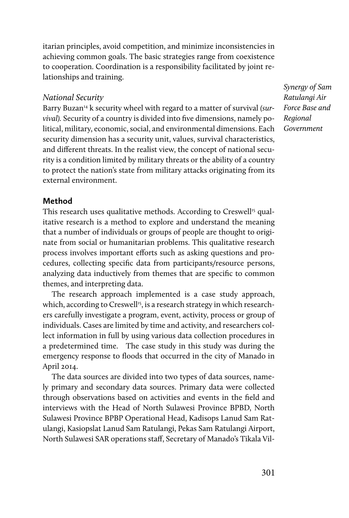itarian principles, avoid competition, and minimize inconsistencies in achieving common goals. The basic strategies range from coexistence to cooperation. Coordination is a responsibility facilitated by joint relationships and training.

## *National Security*

Barry Buzan<sup>14</sup> k security wheel with regard to a matter of survival *(survival).* Security of a country is divided into five dimensions, namely political, military, economic, social, and environmental dimensions. Each security dimension has a security unit, values, survival characteristics, and different threats. In the realist view, the concept of national security is a condition limited by military threats or the ability of a country to protect the nation's state from military attacks originating from its external environment.

*Synergy of Sam Ratulangi Air Force Base and Regional Government*

## **Method**

This research uses qualitative methods. According to Creswell<sup>15</sup> qualitative research is a method to explore and understand the meaning that a number of individuals or groups of people are thought to originate from social or humanitarian problems. This qualitative research process involves important efforts such as asking questions and procedures, collecting specific data from participants/resource persons, analyzing data inductively from themes that are specific to common themes, and interpreting data.

The research approach implemented is a case study approach, which, according to Creswell<sup>15</sup>, is a research strategy in which researchers carefully investigate a program, event, activity, process or group of individuals. Cases are limited by time and activity, and researchers collect information in full by using various data collection procedures in a predetermined time. The case study in this study was during the emergency response to floods that occurred in the city of Manado in April 2014.

The data sources are divided into two types of data sources, namely primary and secondary data sources. Primary data were collected through observations based on activities and events in the field and interviews with the Head of North Sulawesi Province BPBD, North Sulawesi Province BPBP Operational Head, Kadisops Lanud Sam Ratulangi, Kasiopslat Lanud Sam Ratulangi, Pekas Sam Ratulangi Airport, North Sulawesi SAR operations staff, Secretary of Manado's Tikala Vil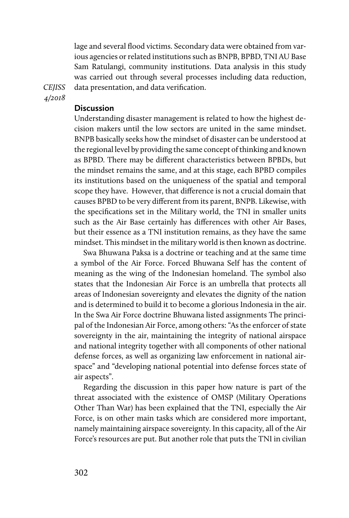lage and several flood victims. Secondary data were obtained from various agencies or related institutions such as BNPB, BPBD, TNI AU Base Sam Ratulangi, community institutions. Data analysis in this study was carried out through several processes including data reduction, data presentation, and data verification.

*CEJISS 4/2018* 

## **Discussion**

Understanding disaster management is related to how the highest decision makers until the low sectors are united in the same mindset. BNPB basically seeks how the mindset of disaster can be understood at the regional level by providing the same concept of thinking and known as BPBD. There may be different characteristics between BPBDs, but the mindset remains the same, and at this stage, each BPBD compiles its institutions based on the uniqueness of the spatial and temporal scope they have. However, that difference is not a crucial domain that causes BPBD to be very different from its parent, BNPB. Likewise, with the specifications set in the Military world, the TNI in smaller units such as the Air Base certainly has differences with other Air Bases, but their essence as a TNI institution remains, as they have the same mindset. This mindset in the military world is then known as doctrine.

Swa Bhuwana Paksa is a doctrine or teaching and at the same time a symbol of the Air Force. Forced Bhuwana Self has the content of meaning as the wing of the Indonesian homeland. The symbol also states that the Indonesian Air Force is an umbrella that protects all areas of Indonesian sovereignty and elevates the dignity of the nation and is determined to build it to become a glorious Indonesia in the air. In the Swa Air Force doctrine Bhuwana listed assignments The principal of the Indonesian Air Force, among others: "As the enforcer of state sovereignty in the air, maintaining the integrity of national airspace and national integrity together with all components of other national defense forces, as well as organizing law enforcement in national airspace" and "developing national potential into defense forces state of air aspects".

Regarding the discussion in this paper how nature is part of the threat associated with the existence of OMSP (Military Operations Other Than War) has been explained that the TNI, especially the Air Force, is on other main tasks which are considered more important, namely maintaining airspace sovereignty. In this capacity, all of the Air Force's resources are put. But another role that puts the TNI in civilian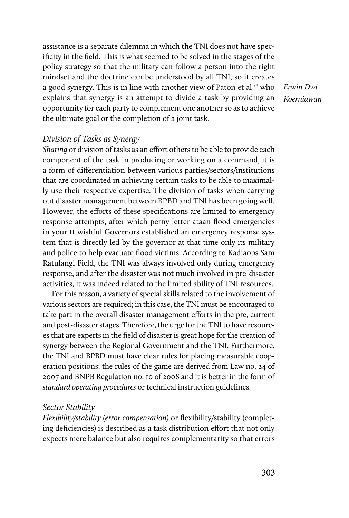assistance is a separate dilemma in which the TNI does not have specificity in the field. This is what seemed to be solved in the stages of the policy strategy so that the military can follow a person into the right mindset and the doctrine can be understood by all TNI, so it creates a good synergy. This is in line with another view of Paton et al  $16$  who explains that synergy is an attempt to divide a task by providing an opportunity for each party to complement one another so as to achieve the ultimate goal or the completion of a joint task.

*Erwin Dwi Koerniawan*

### *Division of Tasks as Synergy*

*Sharing* or division of tasks as an effort others to be able to provide each component of the task in producing or working on a command, it is a form of differentiation between various parties/sectors/institutions that are coordinated in achieving certain tasks to be able to maximally use their respective expertise. The division of tasks when carrying out disaster management between BPBD and TNI has been going well. However, the efforts of these specifications are limited to emergency response attempts, after which perny letter ataan flood emergencies in your tt wishful Governors established an emergency response system that is directly led by the governor at that time only its military and police to help evacuate flood victims. According to Kadiaops Sam Ratulangi Field, the TNI was always involved only during emergency response, and after the disaster was not much involved in pre-disaster activities, it was indeed related to the limited ability of TNI resources.

For this reason, a variety of special skills related to the involvement of various sectors are required; in this case, the TNI must be encouraged to take part in the overall disaster management efforts in the pre, current and post-disaster stages. Therefore, the urge for the TNI to have resources that are experts in the field of disaster is great hope for the creation of synergy between the Regional Government and the TNI. Furthermore, the TNI and BPBD must have clear rules for placing measurable cooperation positions; the rules of the game are derived from Law no. 24 of 2007 and BNPB Regulation no. 10 of 2008 and it is better in the form of *standard operating procedures* or technical instruction guidelines.

#### *Sector Stability*

*Flexibility/stability (error compensation)* or flexibility/stability (completing deficiencies) is described as a task distribution effort that not only expects mere balance but also requires complementarity so that errors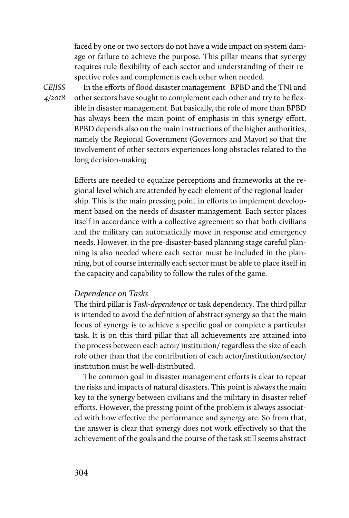faced by one or two sectors do not have a wide impact on system damage or failure to achieve the purpose. This pillar means that synergy requires rule flexibility of each sector and understanding of their respective roles and complements each other when needed.

*CEJISS 4/2018* 

In the efforts of flood disaster management BPBD and the TNI and other sectors have sought to complement each other and try to be flexible in disaster management. But basically, the role of more than BPBD has always been the main point of emphasis in this synergy effort. BPBD depends also on the main instructions of the higher authorities, namely the Regional Government (Governors and Mayor) so that the involvement of other sectors experiences long obstacles related to the long decision-making.

Efforts are needed to equalize perceptions and frameworks at the regional level which are attended by each element of the regional leadership. This is the main pressing point in efforts to implement development based on the needs of disaster management. Each sector places itself in accordance with a collective agreement so that both civilians and the military can automatically move in response and emergency needs. However, in the pre-disaster-based planning stage careful planning is also needed where each sector must be included in the planning, but of course internally each sector must be able to place itself in the capacity and capability to follow the rules of the game.

## *Dependence on Tasks*

The third pillar is *Task-dependence* or task dependency. The third pillar is intended to avoid the definition of abstract synergy so that the main focus of synergy is to achieve a specific goal or complete a particular task. It is on this third pillar that all achievements are attained into the process between each actor/ institution/ regardless the size of each role other than that the contribution of each actor/institution/sector/ institution must be well-distributed.

The common goal in disaster management efforts is clear to repeat the risks and impacts of natural disasters. This point is always the main key to the synergy between civilians and the military in disaster relief efforts. However, the pressing point of the problem is always associated with how effective the performance and synergy are. So from that, the answer is clear that synergy does not work effectively so that the achievement of the goals and the course of the task still seems abstract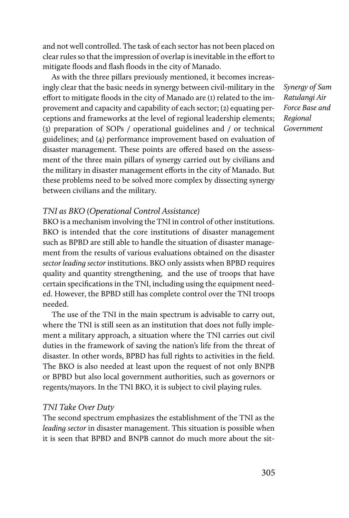and not well controlled. The task of each sector has not been placed on clear rules so that the impression of overlap is inevitable in the effort to mitigate floods and flash floods in the city of Manado.

As with the three pillars previously mentioned, it becomes increasingly clear that the basic needs in synergy between civil-military in the effort to mitigate floods in the city of Manado are (1) related to the improvement and capacity and capability of each sector; (2) equating perceptions and frameworks at the level of regional leadership elements; (3) preparation of SOPs / operational guidelines and / or technical guidelines; and (4) performance improvement based on evaluation of disaster management. These points are offered based on the assessment of the three main pillars of synergy carried out by civilians and the military in disaster management efforts in the city of Manado. But these problems need to be solved more complex by dissecting synergy between civilians and the military.

### *TNI as BKO (Operational Control Assistance)*

BKO is a mechanism involving the TNI in control of other institutions. BKO is intended that the core institutions of disaster management such as BPBD are still able to handle the situation of disaster management from the results of various evaluations obtained on the disaster *sector leading sector* institutions. BKO only assists when BPBD requires quality and quantity strengthening, and the use of troops that have certain specifications in the TNI, including using the equipment needed. However, the BPBD still has complete control over the TNI troops needed.

The use of the TNI in the main spectrum is advisable to carry out, where the TNI is still seen as an institution that does not fully implement a military approach, a situation where the TNI carries out civil duties in the framework of saving the nation's life from the threat of disaster. In other words, BPBD has full rights to activities in the field. The BKO is also needed at least upon the request of not only BNPB or BPBD but also local government authorities, such as governors or regents/mayors. In the TNI BKO, it is subject to civil playing rules.

### *TNI Take Over Duty*

The second spectrum emphasizes the establishment of the TNI as the *leading sector* in disaster management. This situation is possible when it is seen that BPBD and BNPB cannot do much more about the sit*Synergy of Sam Ratulangi Air Force Base and Regional Government*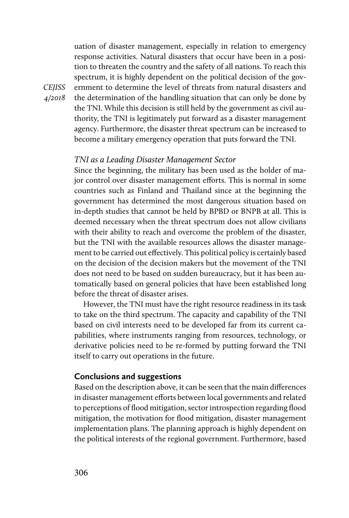uation of disaster management, especially in relation to emergency response activities. Natural disasters that occur have been in a position to threaten the country and the safety of all nations. To reach this spectrum, it is highly dependent on the political decision of the government to determine the level of threats from natural disasters and the determination of the handling situation that can only be done by the TNI. While this decision is still held by the government as civil authority, the TNI is legitimately put forward as a disaster management agency. Furthermore, the disaster threat spectrum can be increased to become a military emergency operation that puts forward the TNI.

#### *TNI as a Leading Disaster Management Sector*

Since the beginning, the military has been used as the holder of major control over disaster management efforts. This is normal in some countries such as Finland and Thailand since at the beginning the government has determined the most dangerous situation based on in-depth studies that cannot be held by BPBD or BNPB at all. This is deemed necessary when the threat spectrum does not allow civilians with their ability to reach and overcome the problem of the disaster, but the TNI with the available resources allows the disaster management to be carried out effectively. This political policy is certainly based on the decision of the decision makers but the movement of the TNI does not need to be based on sudden bureaucracy, but it has been automatically based on general policies that have been established long before the threat of disaster arises.

However, the TNI must have the right resource readiness in its task to take on the third spectrum. The capacity and capability of the TNI based on civil interests need to be developed far from its current capabilities, where instruments ranging from resources, technology, or derivative policies need to be re-formed by putting forward the TNI itself to carry out operations in the future.

#### **Conclusions and suggestions**

Based on the description above, it can be seen that the main differences in disaster management efforts between local governments and related to perceptions of flood mitigation, sector introspection regarding flood mitigation, the motivation for flood mitigation, disaster management implementation plans. The planning approach is highly dependent on the political interests of the regional government. Furthermore, based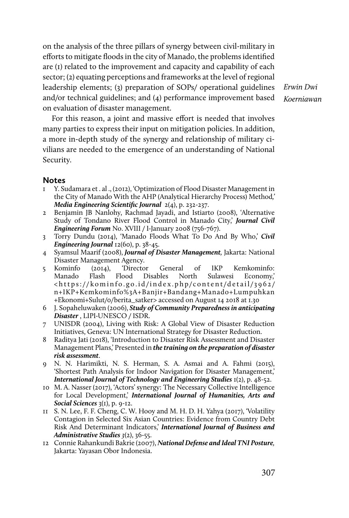on the analysis of the three pillars of synergy between civil-military in efforts to mitigate floods in the city of Manado, the problems identified are (1) related to the improvement and capacity and capability of each sector; (2) equating perceptions and frameworks at the level of regional leadership elements; (3) preparation of SOPs/ operational guidelines and/or technical guidelines; and (4) performance improvement based on evaluation of disaster management.

*Erwin Dwi Koerniawan*

For this reason, a joint and massive effort is needed that involves many parties to express their input on mitigation policies. In addition, a more in-depth study of the synergy and relationship of military civilians are needed to the emergence of an understanding of National Security.

#### **Notes**

- 1 Y. Sudamara et . al ., (2012), 'Optimization of Flood Disaster Management in the City of Manado With the AHP (Analytical Hierarchy Process) Method*,' Media Engineering Scientific Journal* 2(4), p. 232-237.
- 2 Benjamin JB Nanlohy, Rachmad Jayadi, and Istiarto (2008), 'Alternative Study of Tondano River Flood Control in Manado City,' *Journal Civil Engineering Forum* No. XVIII / I-January 2008 (756-767).
- 3 Torry Dundu (2014), 'Manado Floods What To Do And By Who,' *Civil Engineering Journal* 12(60), p. 38-45.
- 4 Syamsul Maarif (2008), *Journal of Disaster Management,* Jakarta: National Disaster Management Agency.
- 5 Kominfo (2014), 'Director General of IKP Kemkominfo: Manado Flash Flood Disables North Sulawesi Economy,' < https://kominfo.go.id/index.php/content/detail/3962/ n+IKP+Kemkominfo%3A+Banjir+Bandang+Manado+Lumpuhkan +Ekonomi+Sulut/0/berita\_satker> accessed on August 14 2018 at 1.30
- 6 J. Sopaheluwaken (2006), *Study of Community Preparedness in anticipating Disaster* , LIPI-UNESCO / ISDR.
- 7 UNISDR (2004), Living with Risk: A Global View of Disaster Reduction Initiatives, Geneva: UN International Strategy for Disaster Reduction.
- 8 Raditya Jati (2018), 'Introduction to Disaster Risk Assessment and Disaster Management Plans,' Presented in *the training on the preparation of disaster risk assessment*.
- 9 N. N. Harimikti, N. S. Herman, S. A. Asmai and A. Fahmi (2015), 'Shortest Path Analysis for Indoor Navigation for Disaster Management,' *International Journal of Technology and Engineering Studies* 1(2), p. 48-52.
- 10 M. A. Nasser (2017), 'Actors' synergy: The Necessary Collective Intelligence for Local Development,' *International Journal of Humanities, Arts and Social Sciences* 3(1), p. 9-12.
- 11 S. N. Lee, F. F. Cheng, C. W. Hooy and M. H. D. H. Yahya (2017), 'Volatility Contagion in Selected Six Asian Countries: Evidence from Country Debt Risk And Determinant Indicators,' *International Journal of Business and Administrative Studies 3*(2), 36-55.
- 12 Connie Rahankundi Bakrie (2007), *National Defense and Ideal TNI Posture,* Jakarta: Yayasan Obor Indonesia.